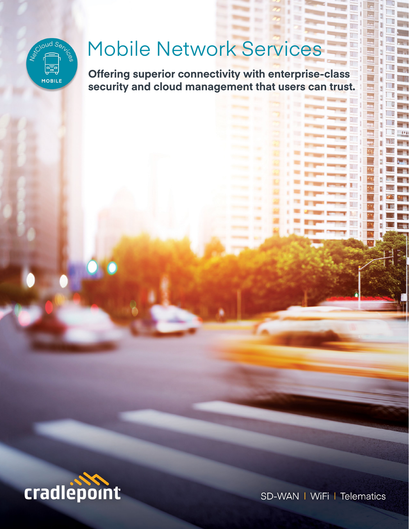

# Mobile Network Services

**Offering superior connectivity with enterprise-class security and cloud management that users can trust.** 



SD-WAN | WiFi | Telematics

II.

见了

π

Ш IJ П mu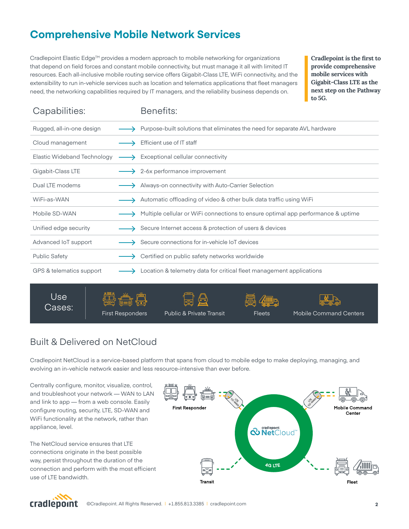# **Comprehensive Mobile Network Services**

Cradlepoint Elastic Edge™ provides a modern approach to mobile networking for organizations that depend on field forces and constant mobile connectivity, but must manage it all with limited IT resources. Each all-inclusive mobile routing service offers Gigabit-Class LTE, WiFi connectivity, and the extensibility to run in-vehicle services such as location and telematics applications that fleet managers need, the networking capabilities required by IT managers, and the reliability business depends on.

**Cradlepoint is the first to provide comprehensive mobile services with Gigabit-Class LTE as the next step on the Pathway to 5G.**

| Capabilities:               | Benefits:                                                                        |
|-----------------------------|----------------------------------------------------------------------------------|
| Rugged, all-in-one design   | Purpose-built solutions that eliminates the need for separate AVL hardware       |
| Cloud management            | Efficient use of IT staff                                                        |
| Elastic Wideband Technology | $\rightarrow$ Exceptional cellular connectivity                                  |
| Gigabit-Class LTE           | 2-6x performance improvement                                                     |
| Dual LTE modems             | Always-on connectivity with Auto-Carrier Selection                               |
| WiFi-as-WAN                 | Automatic offloading of video & other bulk data traffic using WiFi               |
| Mobile SD-WAN               | Multiple cellular or WiFi connections to ensure optimal app performance & uptime |
| Unified edge security       | Secure Internet access & protection of users & devices                           |
| Advanced IoT support        | Secure connections for in-vehicle IoT devices                                    |
| <b>Public Safety</b>        | Certified on public safety networks worldwide                                    |
| GPS & telematics support    | Location & telemetry data for critical fleet management applications             |
|                             |                                                                                  |

Use Cases:









# Built & Delivered on NetCloud

Cradlepoint NetCloud is a service-based platform that spans from cloud to mobile edge to make deploying, managing, and evolving an in-vehicle network easier and less resource-intensive than ever before.

Centrally configure, monitor, visualize, control, and troubleshoot your network — WAN to LAN and link to app — from a web console. Easily configure routing, security, LTE, SD-WAN and WiFi functionality at the network, rather than appliance, level.

The NetCloud service ensures that LTE connections originate in the best possible way, persist throughout the duration of the connection and perform with the most efficient use of LTE bandwidth.



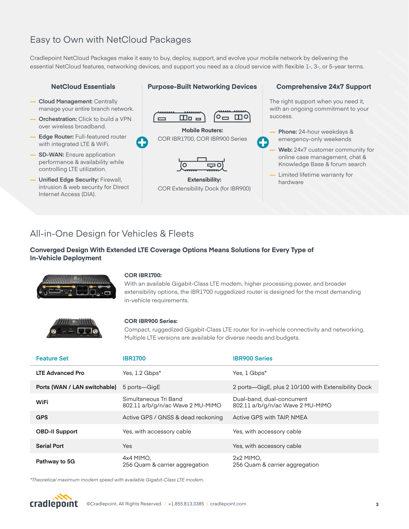# Easy to Own with NetCloud Packages

Cradlepoint NetCloud Packages make it easy to buy, deploy, support, and evolve your mobile network by delivering the essential NetCloud features, networking devices, and support you need as a cloud service with flexible 1-, 3-, or 5-year terms.

**Purpose-Built Networking Devices**

#### **NetCloud Essentials**

- **— Cloud Management:** Centrally manage your entire branch network.
- **— Orchestration:** Click to build a VPN over wireless broadband.
- **— Edge Router:** Full-featured router with integrated LTE & WiFi.
- **SD-WAN:** Ensure application performance & availability while controlling LTE utilization.
- **— Unified Edge Security:** Firewall, intrusion & web security for Direct Internet Access (DIA).

# $\circ$   $\Box$   $\circ$  $\Box$ o $=$  $\Box$ **Mobile Routers:**  COR IBR1700, COR IBR900 Series **Extensibility:** COR Extensibility Dock (for IBR900)

#### **Comprehensive 24x7 Support**

The right support when you need it, with an ongoing commitment to your success.

- **— Phone:** 24-hour weekdays & emergency-only weekends
- **— Web:** 24x7 customer community for online case management, chat & Knowledge Base & forum search
- **—** Limited lifetime warranty for hardware

## All-in-One Design for Vehicles & Fleets

#### **Converged Design With Extended LTE Coverage Options Means Solutions for Every Type of In-Vehicle Deployment**



#### **COR IBR1700:**

With an available Gigabit-Class LTE modem, higher processing power, and broader extensibility options, the IBR1700 ruggedized router is designed for the most demanding in-vehicle requirements.



#### **COR IBR900 Series:**

Compact, ruggedized Gigabit-Class LTE router for in-vehicle connectivity and networking. Multiple LTE versions are available for diverse needs and budgets.

| <b>Feature Set</b>           | <b>IBR1700</b>                                            | <b>IBR900 Series</b>                                           |
|------------------------------|-----------------------------------------------------------|----------------------------------------------------------------|
| <b>LTE Advanced Pro</b>      | Yes, 1.2 Gbps*                                            | Yes, 1 Gbps*                                                   |
| Ports (WAN / LAN switchable) | 5 ports—GigE                                              | 2 ports—GigE, plus 2 10/100 with Extensibility Dock            |
| <b>WiFi</b>                  | Simultaneous Tri Band<br>802.11 a/b/g/n/ac Wave 2 MU-MIMO | Dual-band, dual-concurrent<br>802.11 a/b/g/n/ac Wave 2 MU-MIMO |
| <b>GPS</b>                   | Active GPS / GNSS & dead reckoning                        | Active GPS with TAIP, NMEA                                     |
| <b>OBD-II Support</b>        | Yes, with accessory cable                                 | Yes, with accessory cable                                      |
| <b>Serial Port</b>           | Yes                                                       | Yes, with accessory cable                                      |
| Pathway to 5G                | 4x4 MIMO.<br>256 Quam & carrier aggregation               | $2x2$ MIMO.<br>256 Quam & carrier aggregation                  |

*\*Theoretical maximum modem speed with available Gigabit-Class LTE modem.*